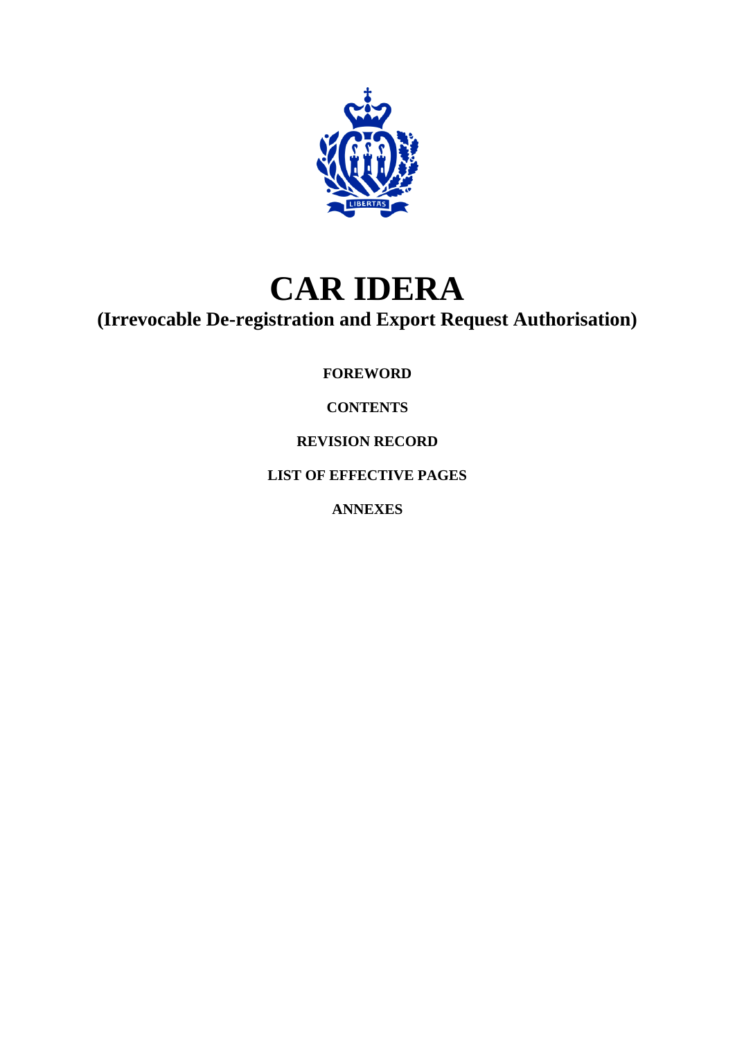

# **CAR IDERA**

# **(Irrevocable De-registration and Export Request Authorisation)**

**[FOREWORD](#page-2-0)**

**[CONTENTS](#page-5-0)**

**[REVISION RECORD](#page-3-0)**

**[LIST OF EFFECTIVE PAGES](#page-4-0)**

**[ANNEXES](#page-11-0)**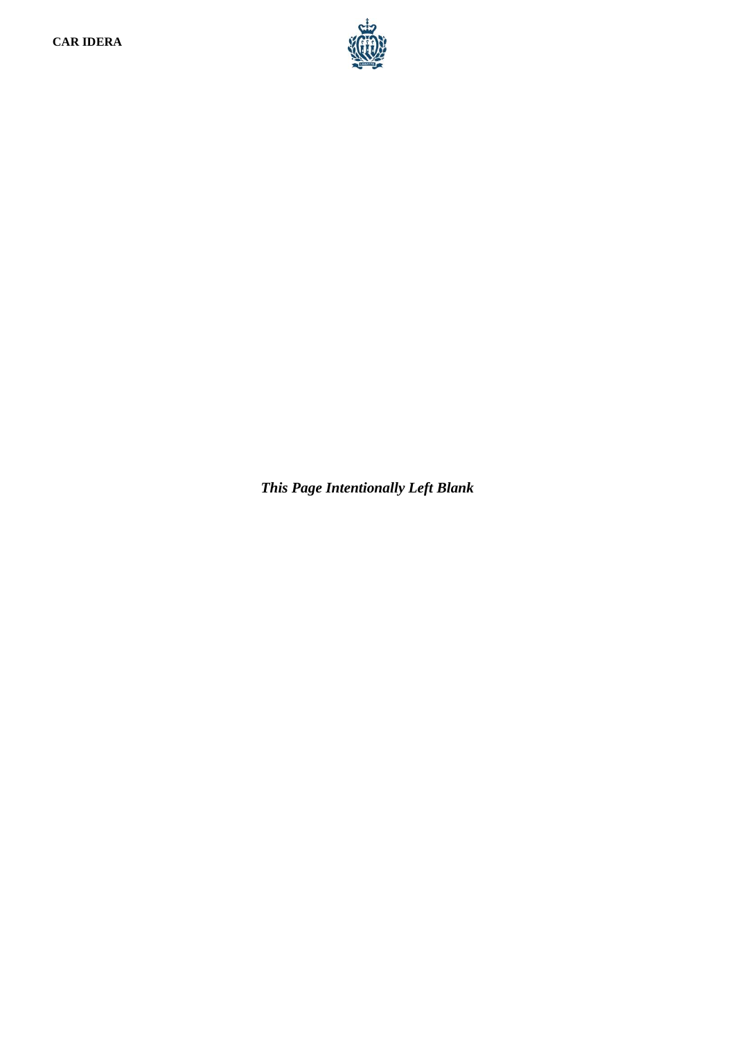

*This Page Intentionally Left Blank*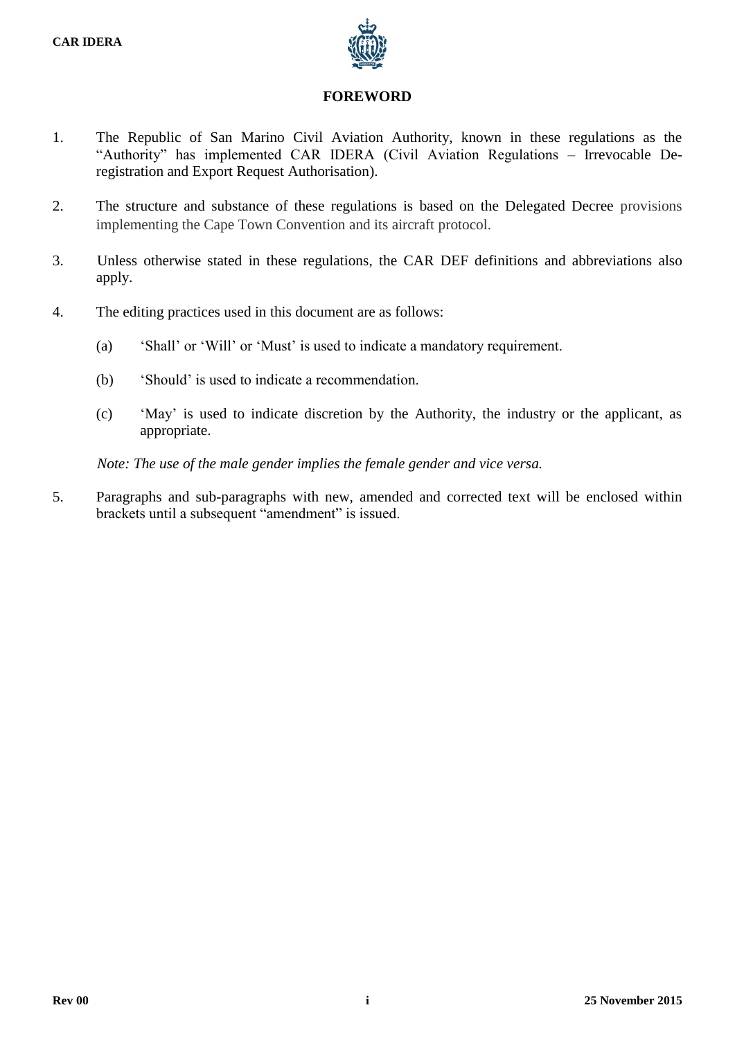

### **FOREWORD**

- <span id="page-2-0"></span>1. The Republic of San Marino Civil Aviation Authority, known in these regulations as the "Authority" has implemented CAR IDERA (Civil Aviation Regulations – Irrevocable Deregistration and Export Request Authorisation).
- 2. The structure and substance of these regulations is based on the Delegated Decree provisions implementing the Cape Town Convention and its aircraft protocol.
- 3. Unless otherwise stated in these regulations, the CAR DEF definitions and abbreviations also apply.
- 4. The editing practices used in this document are as follows:
	- (a) 'Shall' or 'Will' or 'Must' is used to indicate a mandatory requirement.
	- (b) 'Should' is used to indicate a recommendation.
	- (c) 'May' is used to indicate discretion by the Authority, the industry or the applicant, as appropriate.

*Note: The use of the male gender implies the female gender and vice versa.*

5. Paragraphs and sub-paragraphs with new, amended and corrected text will be enclosed within brackets until a subsequent "amendment" is issued.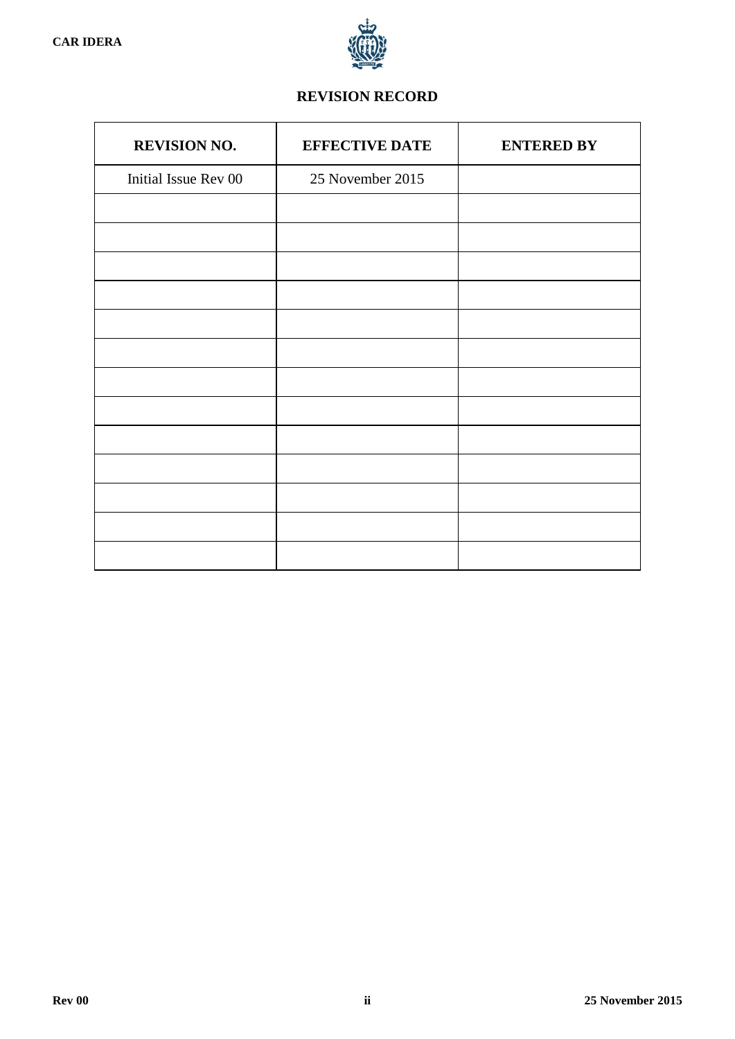

# **REVISION RECORD**

<span id="page-3-0"></span>

| <b>REVISION NO.</b>  | <b>EFFECTIVE DATE</b> | <b>ENTERED BY</b> |
|----------------------|-----------------------|-------------------|
| Initial Issue Rev 00 | 25 November 2015      |                   |
|                      |                       |                   |
|                      |                       |                   |
|                      |                       |                   |
|                      |                       |                   |
|                      |                       |                   |
|                      |                       |                   |
|                      |                       |                   |
|                      |                       |                   |
|                      |                       |                   |
|                      |                       |                   |
|                      |                       |                   |
|                      |                       |                   |
|                      |                       |                   |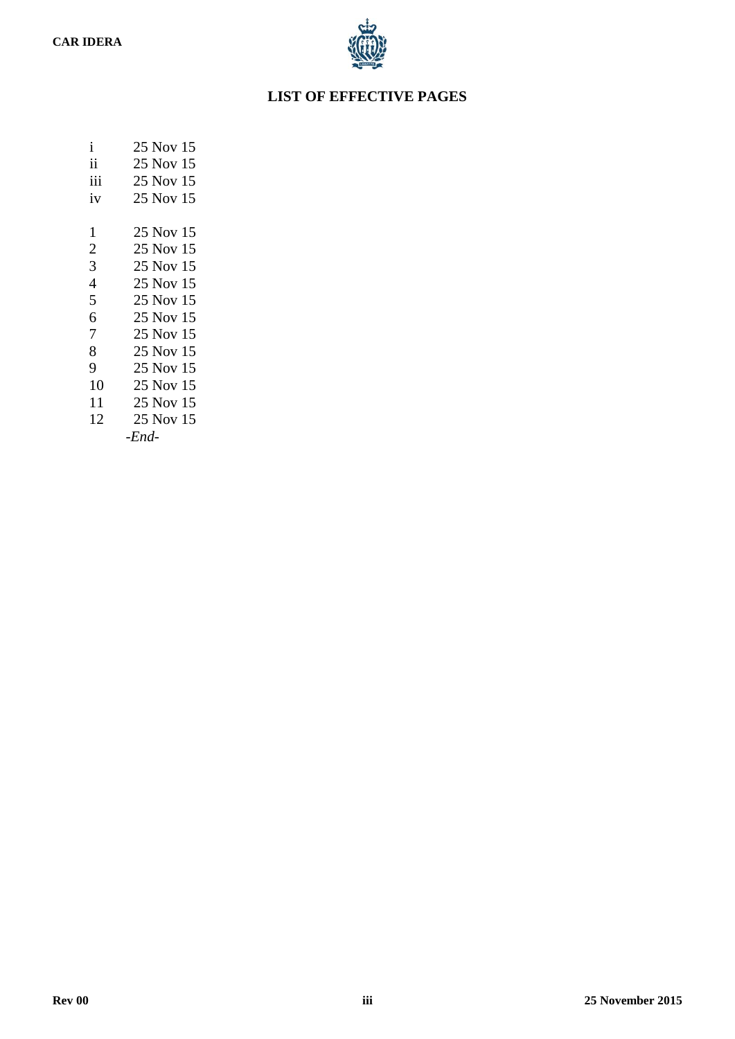

# **LIST OF EFFECTIVE PAGES**

<span id="page-4-0"></span>

| i<br>ii<br>iii<br>iv | 25 Nov 15<br>25 Nov 15<br>25 Nov 15<br>25 Nov 15 |
|----------------------|--------------------------------------------------|
| 1                    | 25 Nov 15                                        |
| 2                    | 25 Nov 15                                        |
| 3                    | 25 Nov 15                                        |
| 4                    | 25 Nov 15                                        |
| 5                    | 25 Nov 15                                        |
| 6                    | 25 Nov 15                                        |
| 7                    | 25 Nov 15                                        |
| 8                    | 25 Nov 15                                        |
| 9                    | 25 Nov 15                                        |
| 10                   | 25 Nov 15                                        |
| 11                   | 25 Nov 15                                        |
| 12                   | 25 Nov 15                                        |

*-End-*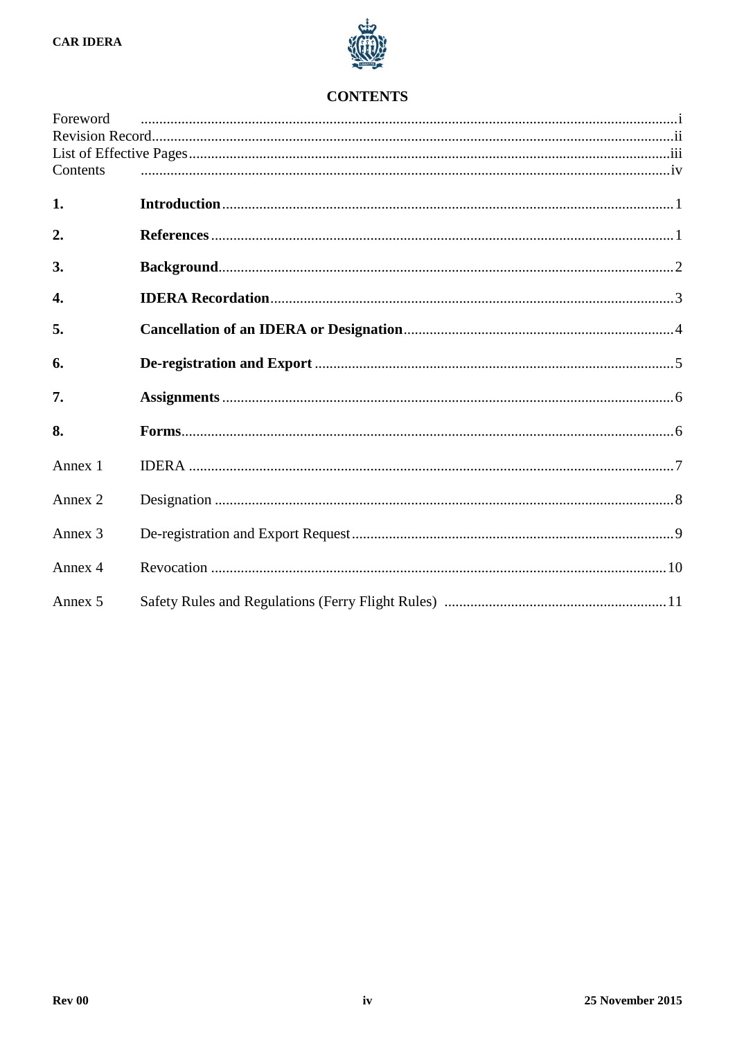

# **CONTENTS**

<span id="page-5-0"></span>

| Foreword         |  |
|------------------|--|
|                  |  |
| Contents         |  |
| 1.               |  |
| 2.               |  |
| 3.               |  |
| $\overline{4}$ . |  |
| 5.               |  |
| 6.               |  |
| 7.               |  |
| 8.               |  |
| Annex 1          |  |
| Annex 2          |  |
| Annex 3          |  |
| Annex 4          |  |
| Annex 5          |  |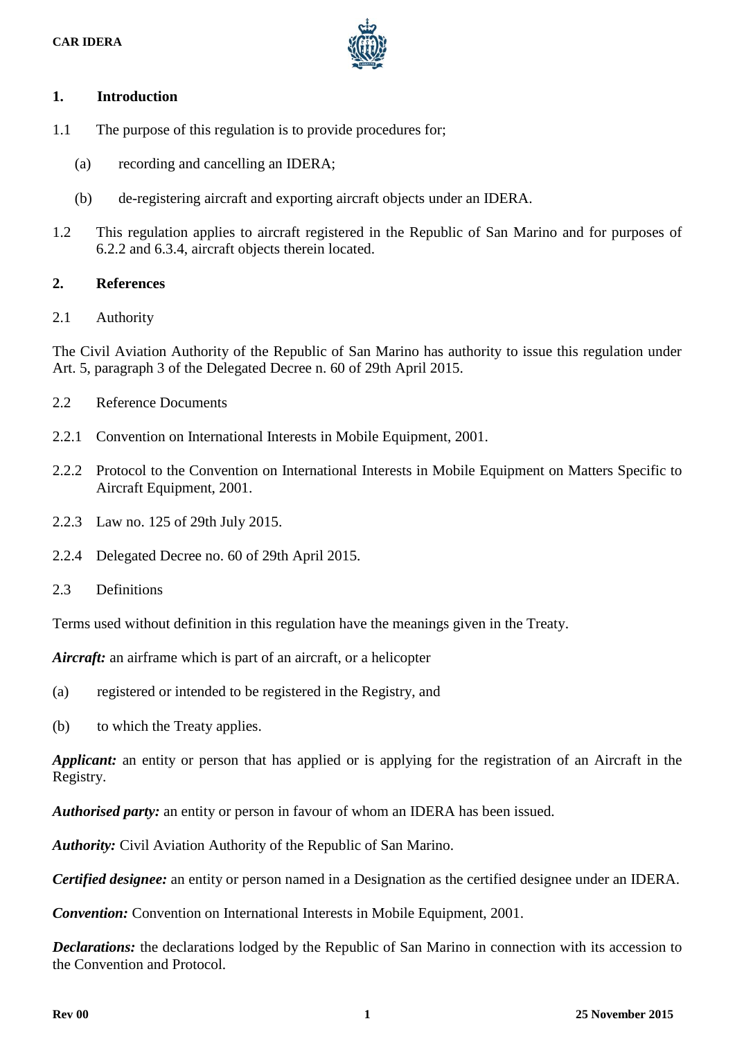

### <span id="page-6-0"></span>**1. Introduction**

- 1.1 The purpose of this regulation is to provide procedures for;
	- (a) recording and cancelling an IDERA;
	- (b) de-registering aircraft and exporting aircraft objects under an IDERA.
- 1.2 This regulation applies to aircraft registered in the Republic of San Marino and for purposes of 6.2.2 and 6.3.4, aircraft objects therein located.

#### <span id="page-6-1"></span>**2. References**

2.1 Authority

The Civil Aviation Authority of the Republic of San Marino has authority to issue this regulation under Art. 5, paragraph 3 of the Delegated Decree n. 60 of 29th April 2015.

- 2.2 Reference Documents
- 2.2.1 Convention on International Interests in Mobile Equipment, 2001.
- 2.2.2 Protocol to the Convention on International Interests in Mobile Equipment on Matters Specific to Aircraft Equipment, 2001.
- 2.2.3 Law no. 125 of 29th July 2015.
- 2.2.4 Delegated Decree no. 60 of 29th April 2015.
- 2.3 Definitions

Terms used without definition in this regulation have the meanings given in the Treaty.

*Aircraft:* an airframe which is part of an aircraft, or a helicopter

- (a) registered or intended to be registered in the Registry, and
- (b) to which the Treaty applies.

*Applicant:* an entity or person that has applied or is applying for the registration of an Aircraft in the Registry.

*Authorised party:* an entity or person in favour of whom an IDERA has been issued.

*Authority:* Civil Aviation Authority of the Republic of San Marino.

*Certified designee:* an entity or person named in a Designation as the certified designee under an IDERA.

*Convention:* Convention on International Interests in Mobile Equipment, 2001.

*Declarations:* the declarations lodged by the Republic of San Marino in connection with its accession to the Convention and Protocol.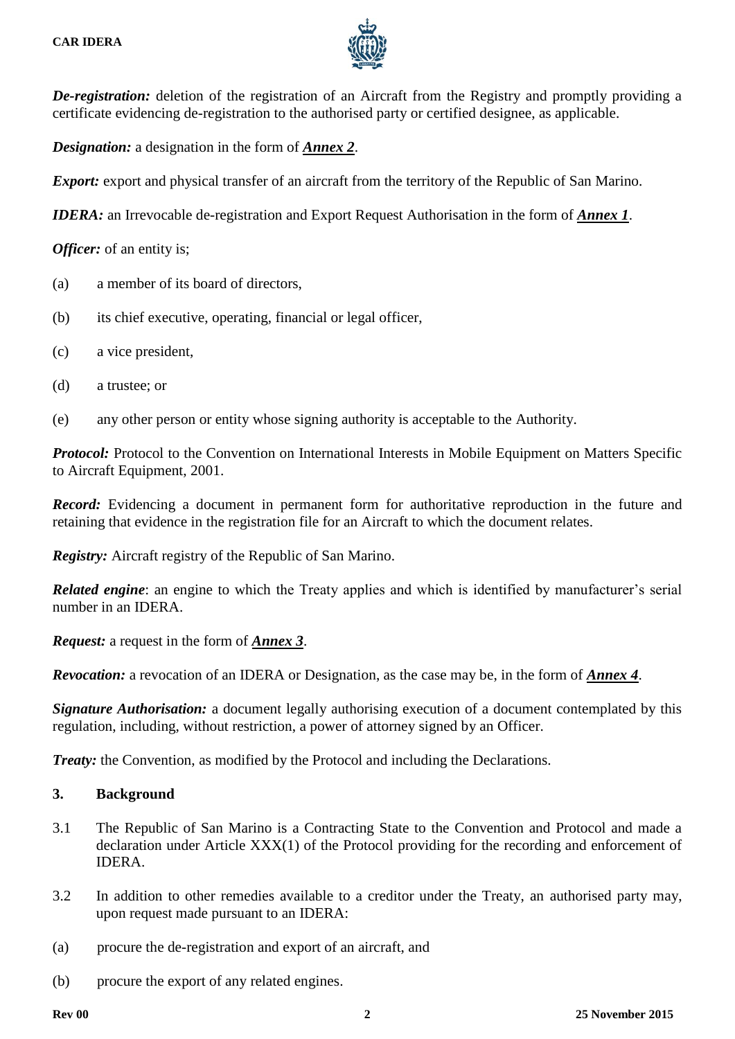

*De-registration:* deletion of the registration of an Aircraft from the Registry and promptly providing a certificate evidencing de-registration to the authorised party or certified designee, as applicable.

*Designation:* a designation in the form of *Annex 2*.

*Export:* export and physical transfer of an aircraft from the territory of the Republic of San Marino.

*IDERA:* an Irrevocable de-registration and Export Request Authorisation in the form of *Annex 1*.

*Officer:* of an entity is;

- (a) a member of its board of directors,
- (b) its chief executive, operating, financial or legal officer,
- (c) a vice president,
- (d) a trustee; or
- (e) any other person or entity whose signing authority is acceptable to the Authority.

*Protocol:* Protocol to the Convention on International Interests in Mobile Equipment on Matters Specific to Aircraft Equipment, 2001.

*Record:* Evidencing a document in permanent form for authoritative reproduction in the future and retaining that evidence in the registration file for an Aircraft to which the document relates.

*Registry:* Aircraft registry of the Republic of San Marino.

*Related engine*: an engine to which the Treaty applies and which is identified by manufacturer's serial number in an IDERA.

*Request:* a request in the form of *Annex 3*.

*Revocation:* a revocation of an IDERA or Designation, as the case may be, in the form of *Annex 4*.

*Signature Authorisation:* a document legally authorising execution of a document contemplated by this regulation, including, without restriction, a power of attorney signed by an Officer.

*Treaty:* the Convention, as modified by the Protocol and including the Declarations.

#### <span id="page-7-0"></span>**3. Background**

- 3.1 The Republic of San Marino is a Contracting State to the Convention and Protocol and made a declaration under Article XXX(1) of the Protocol providing for the recording and enforcement of IDERA.
- 3.2 In addition to other remedies available to a creditor under the Treaty, an authorised party may, upon request made pursuant to an IDERA:
- (a) procure the de-registration and export of an aircraft, and
- (b) procure the export of any related engines.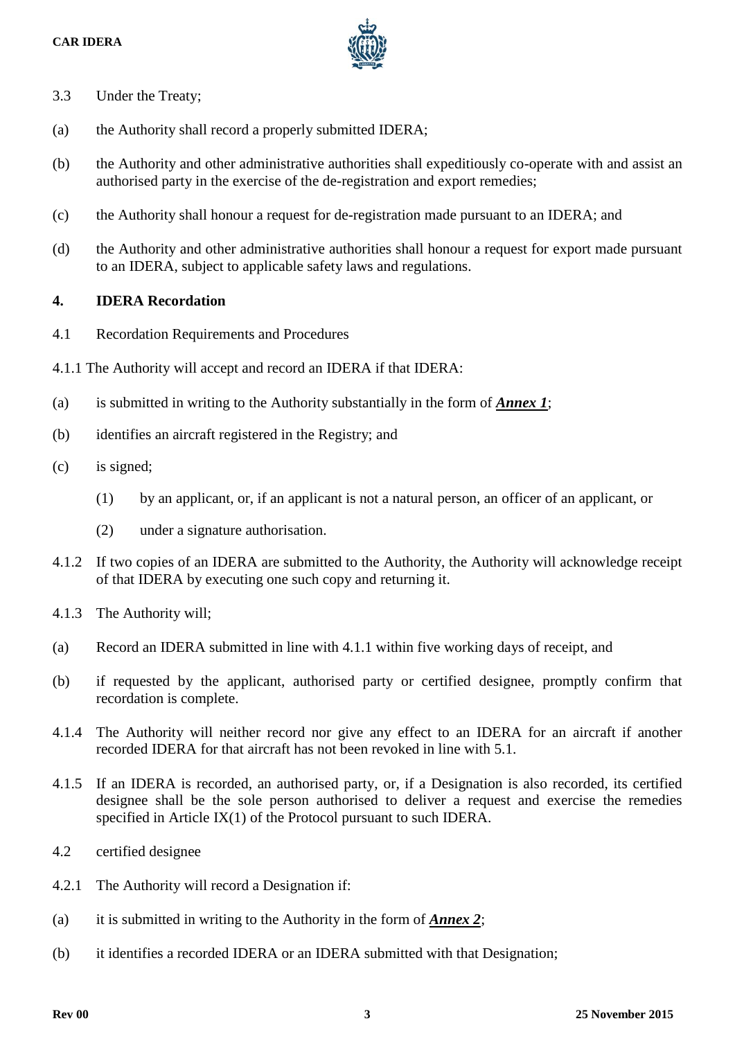

- 3.3 Under the Treaty;
- (a) the Authority shall record a properly submitted IDERA;
- (b) the Authority and other administrative authorities shall expeditiously co-operate with and assist an authorised party in the exercise of the de-registration and export remedies;
- (c) the Authority shall honour a request for de-registration made pursuant to an IDERA; and
- (d) the Authority and other administrative authorities shall honour a request for export made pursuant to an IDERA, subject to applicable safety laws and regulations.

### <span id="page-8-0"></span>**4. IDERA Recordation**

- 4.1 Recordation Requirements and Procedures
- 4.1.1 The Authority will accept and record an IDERA if that IDERA:
- (a) is submitted in writing to the Authority substantially in the form of *Annex 1*;
- (b) identifies an aircraft registered in the Registry; and
- (c) is signed;
	- (1) by an applicant, or, if an applicant is not a natural person, an officer of an applicant, or
	- (2) under a signature authorisation.
- 4.1.2 If two copies of an IDERA are submitted to the Authority, the Authority will acknowledge receipt of that IDERA by executing one such copy and returning it.
- 4.1.3 The Authority will;
- (a) Record an IDERA submitted in line with 4.1.1 within five working days of receipt, and
- (b) if requested by the applicant, authorised party or certified designee, promptly confirm that recordation is complete.
- 4.1.4 The Authority will neither record nor give any effect to an IDERA for an aircraft if another recorded IDERA for that aircraft has not been revoked in line with 5.1.
- 4.1.5 If an IDERA is recorded, an authorised party, or, if a Designation is also recorded, its certified designee shall be the sole person authorised to deliver a request and exercise the remedies specified in Article IX(1) of the Protocol pursuant to such IDERA.
- 4.2 certified designee
- 4.2.1 The Authority will record a Designation if:
- (a) it is submitted in writing to the Authority in the form of *Annex 2*;
- (b) it identifies a recorded IDERA or an IDERA submitted with that Designation;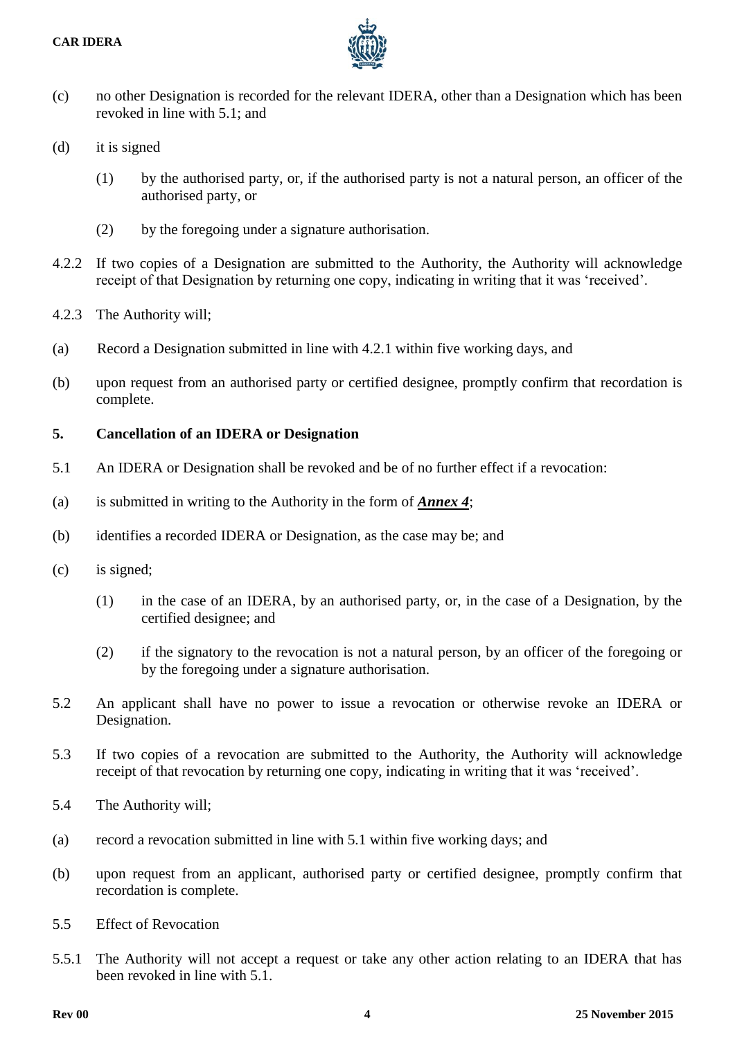

- (c) no other Designation is recorded for the relevant IDERA, other than a Designation which has been revoked in line with 5.1; and
- (d) it is signed
	- (1) by the authorised party, or, if the authorised party is not a natural person, an officer of the authorised party, or
	- (2) by the foregoing under a signature authorisation.
- 4.2.2 If two copies of a Designation are submitted to the Authority, the Authority will acknowledge receipt of that Designation by returning one copy, indicating in writing that it was 'received'.
- 4.2.3 The Authority will;
- (a) Record a Designation submitted in line with 4.2.1 within five working days, and
- (b) upon request from an authorised party or certified designee, promptly confirm that recordation is complete.

#### <span id="page-9-0"></span>**5. Cancellation of an IDERA or Designation**

- 5.1 An IDERA or Designation shall be revoked and be of no further effect if a revocation:
- (a) is submitted in writing to the Authority in the form of *Annex 4*;
- (b) identifies a recorded IDERA or Designation, as the case may be; and
- (c) is signed;
	- (1) in the case of an IDERA, by an authorised party, or, in the case of a Designation, by the certified designee; and
	- (2) if the signatory to the revocation is not a natural person, by an officer of the foregoing or by the foregoing under a signature authorisation.
- 5.2 An applicant shall have no power to issue a revocation or otherwise revoke an IDERA or Designation.
- 5.3 If two copies of a revocation are submitted to the Authority, the Authority will acknowledge receipt of that revocation by returning one copy, indicating in writing that it was 'received'.
- 5.4 The Authority will;
- (a) record a revocation submitted in line with 5.1 within five working days; and
- (b) upon request from an applicant, authorised party or certified designee, promptly confirm that recordation is complete.
- 5.5 Effect of Revocation
- 5.5.1 The Authority will not accept a request or take any other action relating to an IDERA that has been revoked in line with 5.1.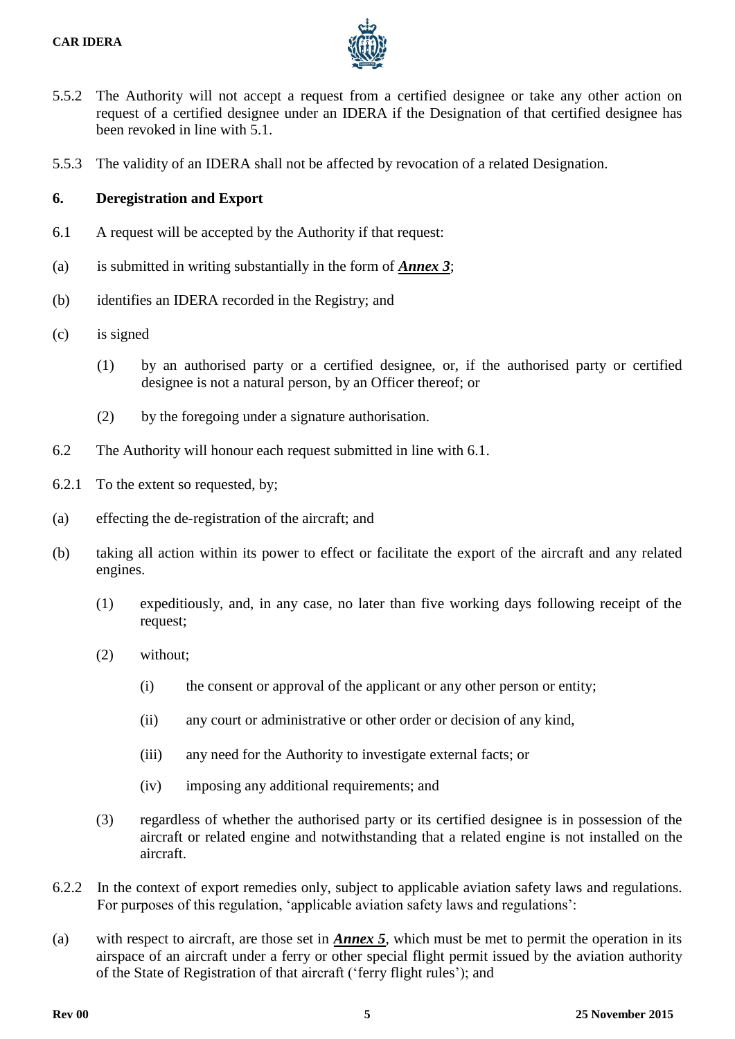

- 5.5.2 The Authority will not accept a request from a certified designee or take any other action on request of a certified designee under an IDERA if the Designation of that certified designee has been revoked in line with 5.1.
- 5.5.3 The validity of an IDERA shall not be affected by revocation of a related Designation.

#### <span id="page-10-0"></span>**6. Deregistration and Export**

- 6.1 A request will be accepted by the Authority if that request:
- (a) is submitted in writing substantially in the form of *Annex 3*;
- (b) identifies an IDERA recorded in the Registry; and
- (c) is signed
	- (1) by an authorised party or a certified designee, or, if the authorised party or certified designee is not a natural person, by an Officer thereof; or
	- (2) by the foregoing under a signature authorisation.
- 6.2 The Authority will honour each request submitted in line with 6.1.
- 6.2.1 To the extent so requested, by;
- (a) effecting the de-registration of the aircraft; and
- (b) taking all action within its power to effect or facilitate the export of the aircraft and any related engines.
	- (1) expeditiously, and, in any case, no later than five working days following receipt of the request;
	- (2) without;
		- (i) the consent or approval of the applicant or any other person or entity;
		- (ii) any court or administrative or other order or decision of any kind,
		- (iii) any need for the Authority to investigate external facts; or
		- (iv) imposing any additional requirements; and
	- (3) regardless of whether the authorised party or its certified designee is in possession of the aircraft or related engine and notwithstanding that a related engine is not installed on the aircraft.
- 6.2.2 In the context of export remedies only, subject to applicable aviation safety laws and regulations. For purposes of this regulation, 'applicable aviation safety laws and regulations':
- (a) with respect to aircraft, are those set in *Annex 5*, which must be met to permit the operation in its airspace of an aircraft under a ferry or other special flight permit issued by the aviation authority of the State of Registration of that aircraft ('ferry flight rules'); and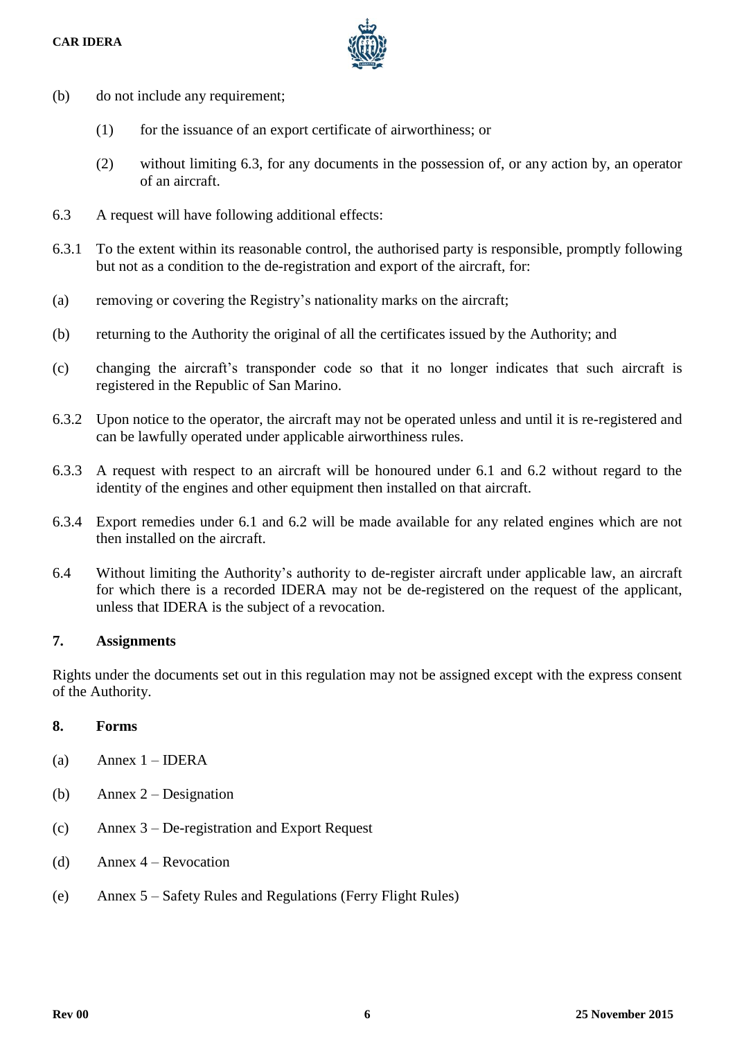

- (b) do not include any requirement;
	- (1) for the issuance of an export certificate of airworthiness; or
	- (2) without limiting 6.3, for any documents in the possession of, or any action by, an operator of an aircraft.
- 6.3 A request will have following additional effects:
- 6.3.1 To the extent within its reasonable control, the authorised party is responsible, promptly following but not as a condition to the de-registration and export of the aircraft, for:
- (a) removing or covering the Registry's nationality marks on the aircraft;
- (b) returning to the Authority the original of all the certificates issued by the Authority; and
- (c) changing the aircraft's transponder code so that it no longer indicates that such aircraft is registered in the Republic of San Marino.
- 6.3.2 Upon notice to the operator, the aircraft may not be operated unless and until it is re-registered and can be lawfully operated under applicable airworthiness rules.
- 6.3.3 A request with respect to an aircraft will be honoured under 6.1 and 6.2 without regard to the identity of the engines and other equipment then installed on that aircraft.
- 6.3.4 Export remedies under 6.1 and 6.2 will be made available for any related engines which are not then installed on the aircraft.
- 6.4 Without limiting the Authority's authority to de-register aircraft under applicable law, an aircraft for which there is a recorded IDERA may not be de-registered on the request of the applicant, unless that IDERA is the subject of a revocation.

## <span id="page-11-1"></span>**7. Assignments**

Rights under the documents set out in this regulation may not be assigned except with the express consent of the Authority.

#### <span id="page-11-0"></span>**8. Forms**

- (a) Annex  $1 IDENT$
- (b) Annex  $2 -$  [Designation](#page-13-0)
- (c) Annex 3 De-registration [and Export Request](#page-14-0)
- (d) Annex  $4 -$  [Revocation](#page-15-0)
- (e) Annex 5 [Safety Rules and Regulations \(Ferry Flight Rules\)](#page-16-0)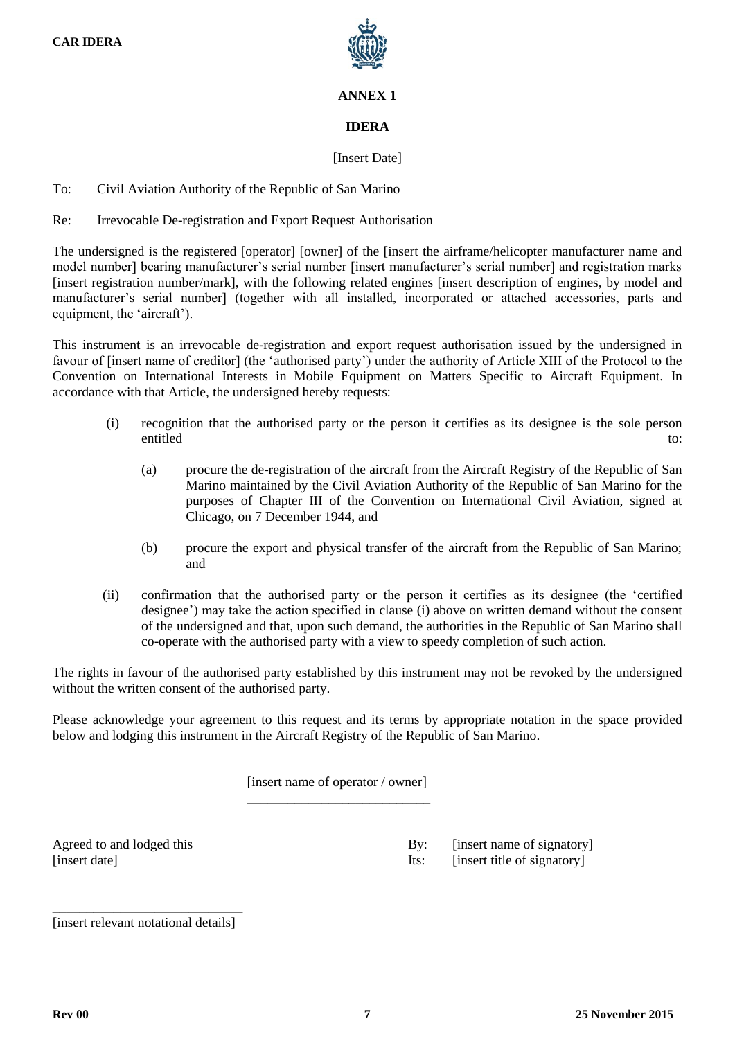

#### **IDERA**

#### [Insert Date]

<span id="page-12-0"></span>To: Civil Aviation Authority of the Republic of San Marino

Re: Irrevocable De-registration and Export Request Authorisation

The undersigned is the registered [operator] [owner] of the [insert the airframe/helicopter manufacturer name and model number] bearing manufacturer's serial number [insert manufacturer's serial number] and registration marks [insert registration number/mark], with the following related engines [insert description of engines, by model and manufacturer's serial number] (together with all installed, incorporated or attached accessories, parts and equipment, the 'aircraft').

This instrument is an irrevocable de-registration and export request authorisation issued by the undersigned in favour of [insert name of creditor] (the 'authorised party') under the authority of Article XIII of the Protocol to the Convention on International Interests in Mobile Equipment on Matters Specific to Aircraft Equipment. In accordance with that Article, the undersigned hereby requests:

- (i) recognition that the authorised party or the person it certifies as its designee is the sole person entitled to:
	- (a) procure the de-registration of the aircraft from the Aircraft Registry of the Republic of San Marino maintained by the Civil Aviation Authority of the Republic of San Marino for the purposes of Chapter III of the Convention on International Civil Aviation, signed at Chicago, on 7 December 1944, and
	- (b) procure the export and physical transfer of the aircraft from the Republic of San Marino; and
- (ii) confirmation that the authorised party or the person it certifies as its designee (the 'certified designee') may take the action specified in clause (i) above on written demand without the consent of the undersigned and that, upon such demand, the authorities in the Republic of San Marino shall co-operate with the authorised party with a view to speedy completion of such action.

The rights in favour of the authorised party established by this instrument may not be revoked by the undersigned without the written consent of the authorised party.

Please acknowledge your agreement to this request and its terms by appropriate notation in the space provided below and lodging this instrument in the Aircraft Registry of the Republic of San Marino.

> [insert name of operator / owner] \_\_\_\_\_\_\_\_\_\_\_\_\_\_\_\_\_\_\_\_\_\_\_\_\_\_\_

- Agreed to and lodged this By: [insert name of signatory]
- [insert date] Its: [insert title of signatory]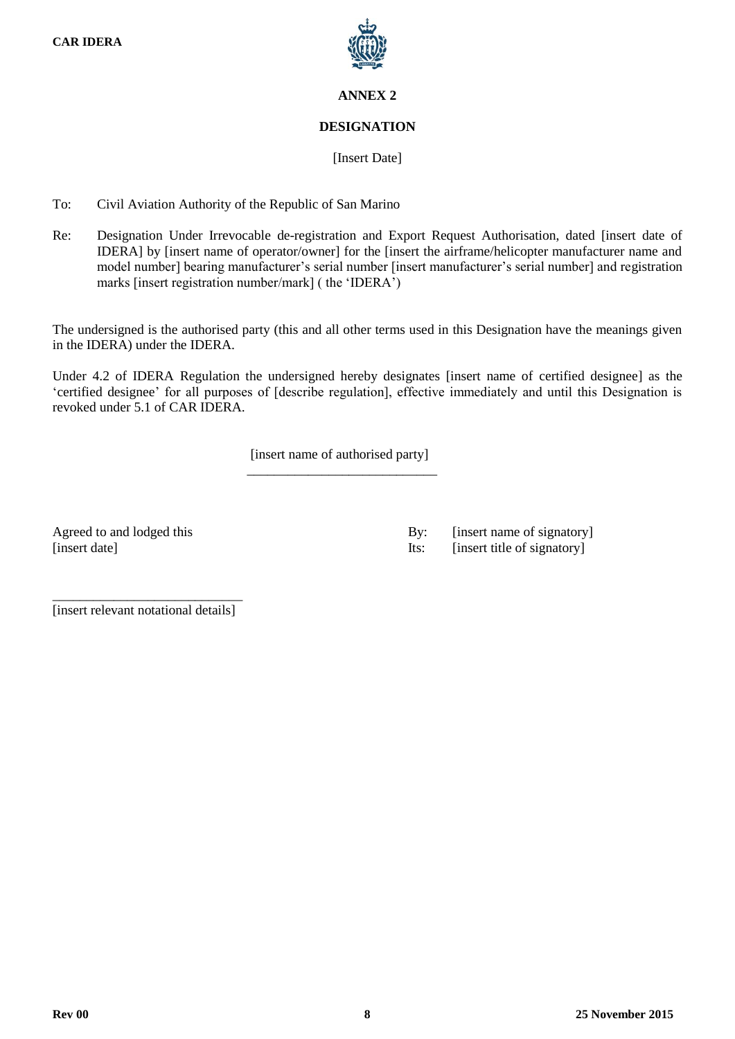

#### **DESIGNATION**

[Insert Date]

<span id="page-13-0"></span>To: Civil Aviation Authority of the Republic of San Marino

Re: Designation Under Irrevocable de-registration and Export Request Authorisation, dated [insert date of IDERA] by [insert name of operator/owner] for the [insert the airframe/helicopter manufacturer name and model number] bearing manufacturer's serial number [insert manufacturer's serial number] and registration marks [insert registration number/mark] ( the 'IDERA')

The undersigned is the authorised party (this and all other terms used in this Designation have the meanings given in the IDERA) under the IDERA.

Under 4.2 of IDERA Regulation the undersigned hereby designates [insert name of certified designee] as the 'certified designee' for all purposes of [describe regulation], effective immediately and until this Designation is revoked under 5.1 of CAR IDERA.

> [insert name of authorised party] \_\_\_\_\_\_\_\_\_\_\_\_\_\_\_\_\_\_\_\_\_\_\_\_\_\_\_\_

Agreed to and lodged this By: [insert name of signatory] [insert date] Its: [insert title of signatory]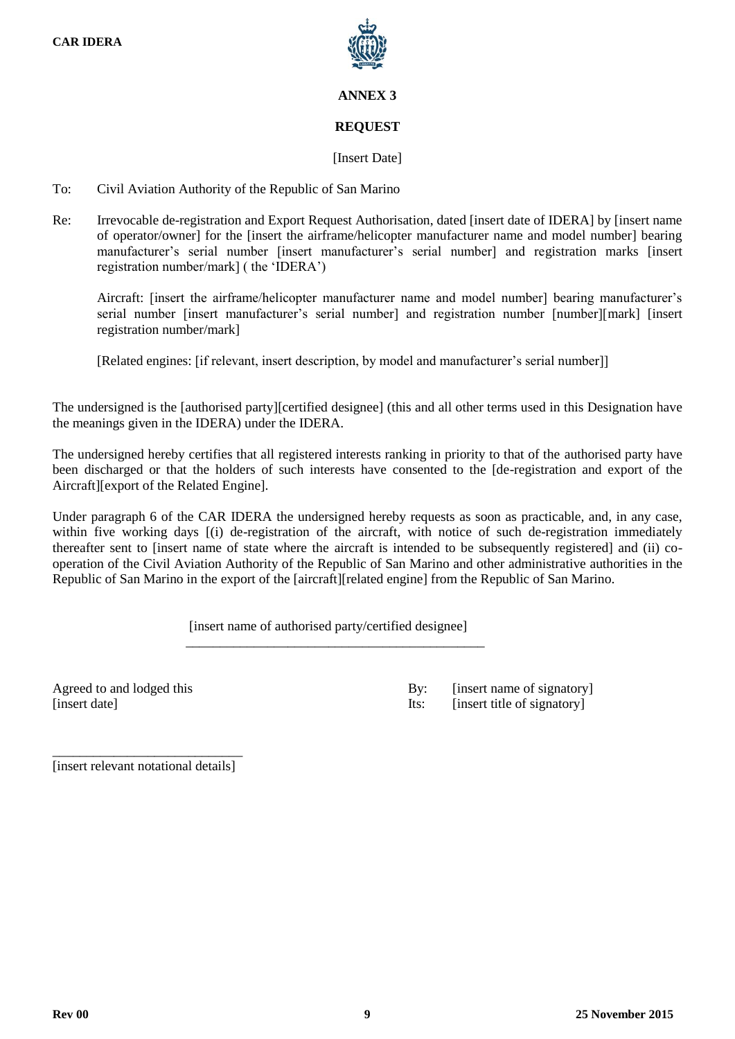

#### **REQUEST**

#### [Insert Date]

#### <span id="page-14-0"></span>To: Civil Aviation Authority of the Republic of San Marino

Re: Irrevocable de-registration and Export Request Authorisation, dated [insert date of IDERA] by [insert name of operator/owner] for the [insert the airframe/helicopter manufacturer name and model number] bearing manufacturer's serial number [insert manufacturer's serial number] and registration marks [insert registration number/mark] ( the 'IDERA')

Aircraft: [insert the airframe/helicopter manufacturer name and model number] bearing manufacturer's serial number [insert manufacturer's serial number] and registration number [number][mark] [insert registration number/mark]

[Related engines: [if relevant, insert description, by model and manufacturer's serial number]]

The undersigned is the [authorised party][certified designee] (this and all other terms used in this Designation have the meanings given in the IDERA) under the IDERA.

The undersigned hereby certifies that all registered interests ranking in priority to that of the authorised party have been discharged or that the holders of such interests have consented to the [de-registration and export of the Aircraft][export of the Related Engine].

Under paragraph 6 of the CAR IDERA the undersigned hereby requests as soon as practicable, and, in any case, within five working days [(i) de-registration of the aircraft, with notice of such de-registration immediately thereafter sent to [insert name of state where the aircraft is intended to be subsequently registered] and (ii) cooperation of the Civil Aviation Authority of the Republic of San Marino and other administrative authorities in the Republic of San Marino in the export of the [aircraft][related engine] from the Republic of San Marino.

> [insert name of authorised party/certified designee] \_\_\_\_\_\_\_\_\_\_\_\_\_\_\_\_\_\_\_\_\_\_\_\_\_\_\_\_\_\_\_\_\_\_\_\_\_\_\_\_\_\_\_\_

Agreed to and lodged this By: [insert name of signatory]

[insert date] Its: [insert title of signatory]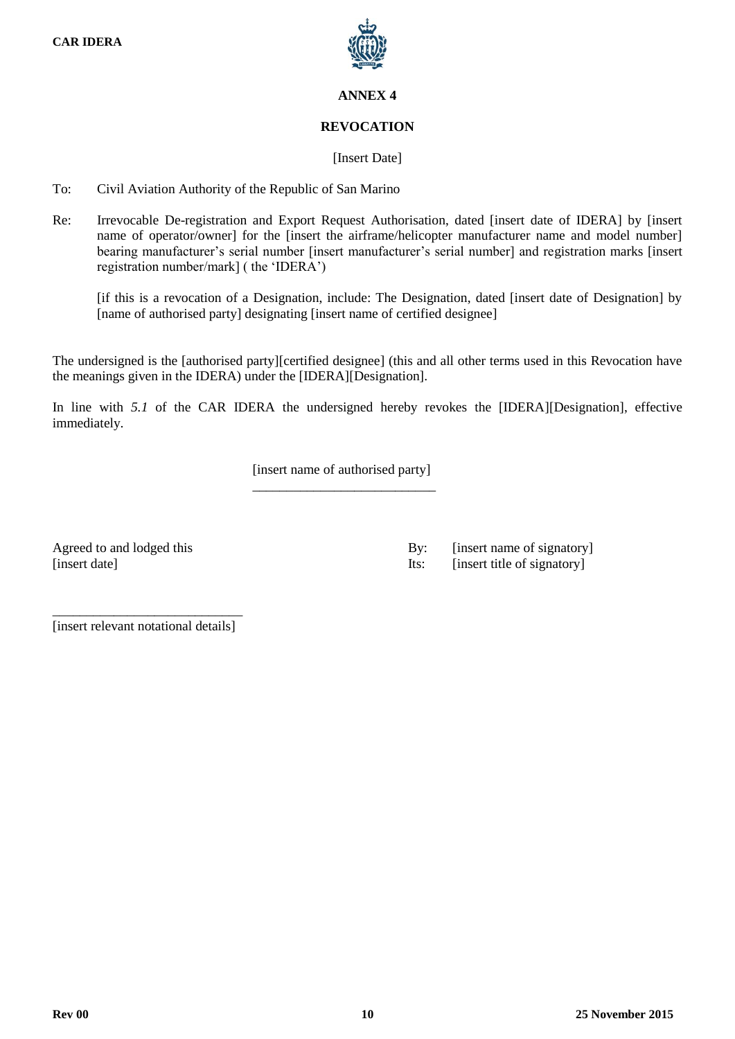

#### **REVOCATION**

#### [Insert Date]

#### <span id="page-15-0"></span>To: Civil Aviation Authority of the Republic of San Marino

Re: Irrevocable De-registration and Export Request Authorisation, dated [insert date of IDERA] by [insert name of operator/owner] for the [insert the airframe/helicopter manufacturer name and model number] bearing manufacturer's serial number [insert manufacturer's serial number] and registration marks [insert registration number/mark] ( the 'IDERA')

[if this is a revocation of a Designation, include: The Designation, dated [insert date of Designation] by [name of authorised party] designating [insert name of certified designee]

The undersigned is the [authorised party][certified designee] (this and all other terms used in this Revocation have the meanings given in the IDERA) under the [IDERA][Designation].

In line with *5.1* of the CAR IDERA the undersigned hereby revokes the [IDERA][Designation], effective immediately.

> [insert name of authorised party] \_\_\_\_\_\_\_\_\_\_\_\_\_\_\_\_\_\_\_\_\_\_\_\_\_\_\_

[insert date] Its: [insert title of signatory]

Agreed to and lodged this By: [insert name of signatory]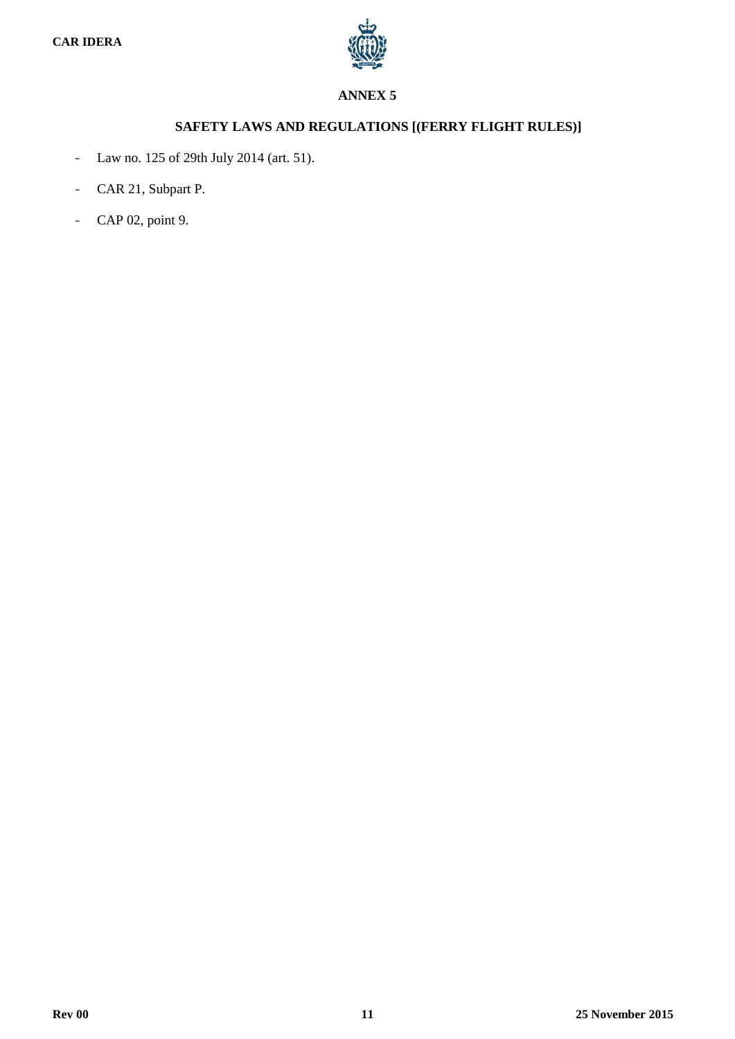

# **SAFETY LAWS AND REGULATIONS [(FERRY FLIGHT RULES)]**

- <span id="page-16-0"></span>- Law no. 125 of 29th July 2014 (art. 51).
- CAR 21, Subpart P.
- CAP 02, point 9.